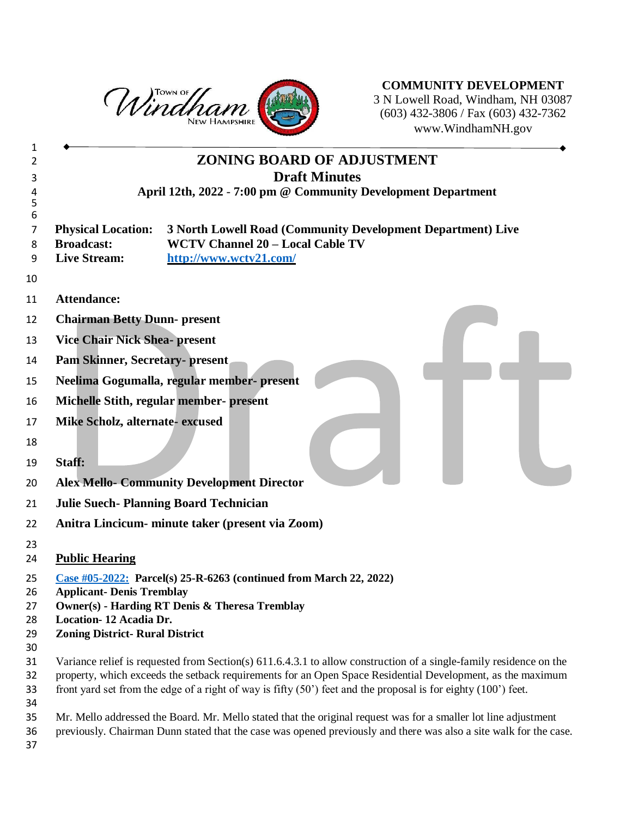

**COMMUNITY DEVELOPMENT** N Lowell Road, Windham, NH 03087 (603) 432-3806 / Fax (603) 432-7362 www.WindhamNH.gov

| 1        |                                                                                                                    |
|----------|--------------------------------------------------------------------------------------------------------------------|
| 2        | <b>ZONING BOARD OF ADJUSTMENT</b>                                                                                  |
| 3        | <b>Draft Minutes</b>                                                                                               |
| 4        | April 12th, 2022 - 7:00 pm @ Community Development Department                                                      |
| 5        |                                                                                                                    |
| 6        | 3 North Lowell Road (Community Development Department) Live                                                        |
| 7<br>8   | <b>Physical Location:</b><br><b>WCTV Channel 20 - Local Cable TV</b><br><b>Broadcast:</b>                          |
| 9        | <b>Live Stream:</b><br>http://www.wctv21.com/                                                                      |
| 10       |                                                                                                                    |
| 11       | Attendance:                                                                                                        |
| 12       | <b>Chairman Betty Dunn- present</b>                                                                                |
| 13       | <b>Vice Chair Nick Shea- present</b>                                                                               |
| 14       | <b>Pam Skinner, Secretary- present</b>                                                                             |
| 15       | Neelima Gogumalla, regular member- present                                                                         |
| 16       | Michelle Stith, regular member- present                                                                            |
| 17       | Mike Scholz, alternate-excused                                                                                     |
| 18       |                                                                                                                    |
| 19       | Staff:                                                                                                             |
| 20       | <b>Alex Mello- Community Development Director</b>                                                                  |
| 21       | <b>Julie Suech-Planning Board Technician</b>                                                                       |
| 22       | Anitra Lincicum- minute taker (present via Zoom)                                                                   |
| 23       |                                                                                                                    |
| 24       | <b>Public Hearing</b>                                                                                              |
| 25       | Case #05-2022: Parcel(s) 25-R-6263 (continued from March 22, 2022)                                                 |
| 26       | <b>Applicant- Denis Tremblay</b>                                                                                   |
| 27       | <b>Owner(s) - Harding RT Denis &amp; Theresa Tremblay</b>                                                          |
| 28       | Location-12 Acadia Dr.                                                                                             |
| 29<br>30 | <b>Zoning District- Rural District</b>                                                                             |
| 31       | Variance relief is requested from Section(s) 611.6.4.3.1 to allow construction of a single-family residence on the |
| 32       | property, which exceeds the setback requirements for an Open Space Residential Development, as the maximum         |
| 33       | front yard set from the edge of a right of way is fifty $(50')$ feet and the proposal is for eighty $(100')$ feet. |
| 34       |                                                                                                                    |
| 35       | Mr. Mello addressed the Board. Mr. Mello stated that the original request was for a smaller lot line adjustment    |
| 36       | previously. Chairman Dunn stated that the case was opened previously and there was also a site walk for the case.  |
| 37       |                                                                                                                    |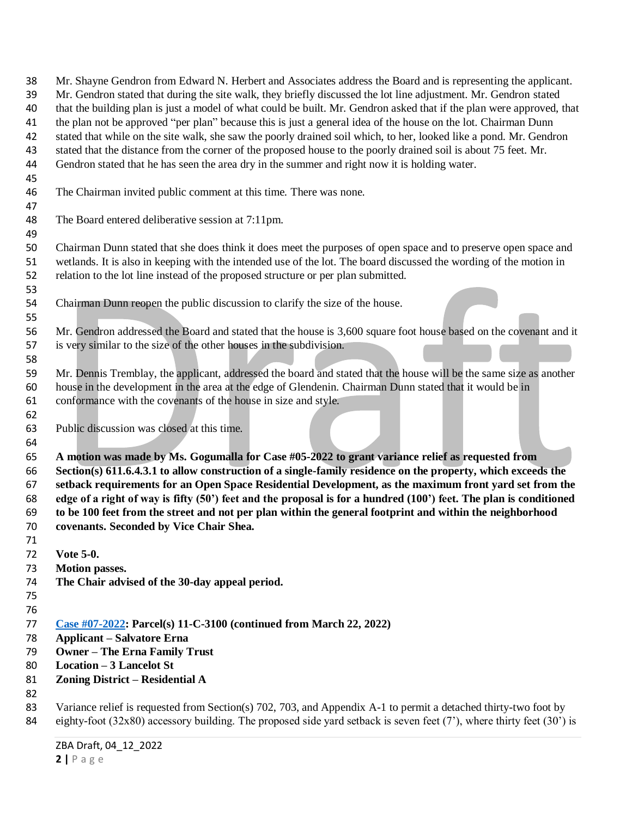Mr. Shayne Gendron from Edward N. Herbert and Associates address the Board and is representing the applicant. Mr. Gendron stated that during the site walk, they briefly discussed the lot line adjustment. Mr. Gendron stated that the building plan is just a model of what could be built. Mr. Gendron asked that if the plan were approved, that the plan not be approved "per plan" because this is just a general idea of the house on the lot. Chairman Dunn stated that while on the site walk, she saw the poorly drained soil which, to her, looked like a pond. Mr. Gendron stated that the distance from the corner of the proposed house to the poorly drained soil is about 75 feet. Mr. Gendron stated that he has seen the area dry in the summer and right now it is holding water. The Chairman invited public comment at this time. There was none. The Board entered deliberative session at 7:11pm. Chairman Dunn stated that she does think it does meet the purposes of open space and to preserve open space and wetlands. It is also in keeping with the intended use of the lot. The board discussed the wording of the motion in relation to the lot line instead of the proposed structure or per plan submitted. Chairman Dunn reopen the public discussion to clarify the size of the house. Mr. Gendron addressed the Board and stated that the house is 3,600 square foot house based on the covenant and it is very similar to the size of the other houses in the subdivision. Mr. Dennis Tremblay, the applicant, addressed the board and stated that the house will be the same size as another house in the development in the area at the edge of Glendenin. Chairman Dunn stated that it would be in conformance with the covenants of the house in size and style. Public discussion was closed at this time. **A motion was made by Ms. Gogumalla for Case #05-2022 to grant variance relief as requested from Section(s) 611.6.4.3.1 to allow construction of a single-family residence on the property, which exceeds the setback requirements for an Open Space Residential Development, as the maximum front yard set from the edge of a right of way is fifty (50') feet and the proposal is for a hundred (100') feet. The plan is conditioned to be 100 feet from the street and not per plan within the general footprint and within the neighborhood covenants. Seconded by Vice Chair Shea. Vote 5-0. Motion passes. The Chair advised of the 30-day appeal period. Case #07-2022: Parcel(s) 11-C-3100 (continued from March 22, 2022) Applicant – Salvatore Erna Owner – The Erna Family Trust Location – 3 Lancelot St Zoning District – Residential A** Variance relief is requested from Section(s) 702, 703, and Appendix A-1 to permit a detached thirty-two foot by 84 eighty-foot (32x80) accessory building. The proposed side yard setback is seven feet (7'), where thirty feet (30') is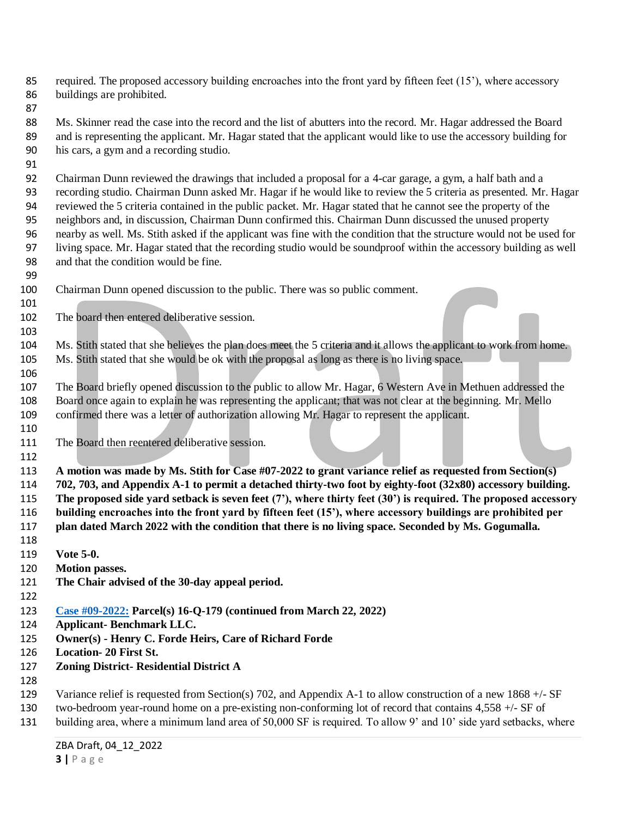required. The proposed accessory building encroaches into the front yard by fifteen feet (15'), where accessory buildings are prohibited.

 Ms. Skinner read the case into the record and the list of abutters into the record. Mr. Hagar addressed the Board and is representing the applicant. Mr. Hagar stated that the applicant would like to use the accessory building for his cars, a gym and a recording studio.

 Chairman Dunn reviewed the drawings that included a proposal for a 4-car garage, a gym, a half bath and a recording studio. Chairman Dunn asked Mr. Hagar if he would like to review the 5 criteria as presented. Mr. Hagar reviewed the 5 criteria contained in the public packet. Mr. Hagar stated that he cannot see the property of the neighbors and, in discussion, Chairman Dunn confirmed this. Chairman Dunn discussed the unused property nearby as well. Ms. Stith asked if the applicant was fine with the condition that the structure would not be used for living space. Mr. Hagar stated that the recording studio would be soundproof within the accessory building as well and that the condition would be fine.

- Chairman Dunn opened discussion to the public. There was so public comment.
- The board then entered deliberative session.

 Ms. Stith stated that she believes the plan does meet the 5 criteria and it allows the applicant to work from home. Ms. Stith stated that she would be ok with the proposal as long as there is no living space.

 The Board briefly opened discussion to the public to allow Mr. Hagar, 6 Western Ave in Methuen addressed the Board once again to explain he was representing the applicant; that was not clear at the beginning. Mr. Mello confirmed there was a letter of authorization allowing Mr. Hagar to represent the applicant.

The Board then reentered deliberative session.

 **A motion was made by Ms. Stith for Case #07-2022 to grant variance relief as requested from Section(s) 702, 703, and Appendix A-1 to permit a detached thirty-two foot by eighty-foot (32x80) accessory building. The proposed side yard setback is seven feet (7'), where thirty feet (30') is required. The proposed accessory building encroaches into the front yard by fifteen feet (15'), where accessory buildings are prohibited per plan dated March 2022 with the condition that there is no living space. Seconded by Ms. Gogumalla.** 

- **Vote 5-0.**
- **Motion passes.**
- **The Chair advised of the 30-day appeal period.**
- 
- **Case #09-2022: Parcel(s) 16-Q-179 (continued from March 22, 2022)**
- **Applicant- Benchmark LLC.**
- **Owner(s) - Henry C. Forde Heirs, Care of Richard Forde**
- **Location- 20 First St.**
- **Zoning District- Residential District A**
- 
- 129 Variance relief is requested from Section(s) 702, and Appendix A-1 to allow construction of a new 1868 +/- SF
- two-bedroom year-round home on a pre-existing non-conforming lot of record that contains 4,558 +/- SF of
- building area, where a minimum land area of 50,000 SF is required. To allow 9' and 10' side yard setbacks, where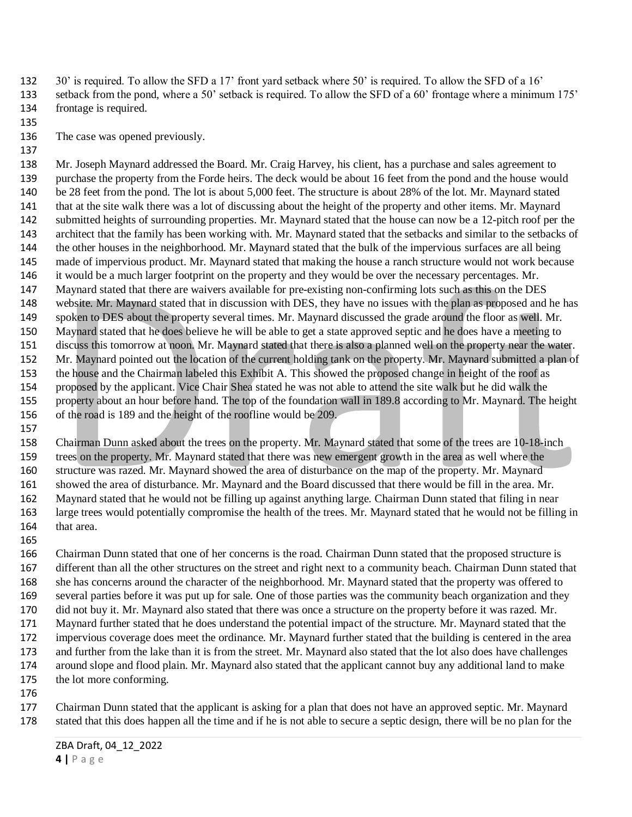- 30' is required. To allow the SFD a 17' front yard setback where 50' is required. To allow the SFD of a 16'
- setback from the pond, where a 50' setback is required. To allow the SFD of a 60' frontage where a minimum 175' frontage is required.
- 

The case was opened previously.

 Mr. Joseph Maynard addressed the Board. Mr. Craig Harvey, his client, has a purchase and sales agreement to purchase the property from the Forde heirs. The deck would be about 16 feet from the pond and the house would be 28 feet from the pond. The lot is about 5,000 feet. The structure is about 28% of the lot. Mr. Maynard stated that at the site walk there was a lot of discussing about the height of the property and other items. Mr. Maynard submitted heights of surrounding properties. Mr. Maynard stated that the house can now be a 12-pitch roof per the architect that the family has been working with. Mr. Maynard stated that the setbacks and similar to the setbacks of the other houses in the neighborhood. Mr. Maynard stated that the bulk of the impervious surfaces are all being made of impervious product. Mr. Maynard stated that making the house a ranch structure would not work because it would be a much larger footprint on the property and they would be over the necessary percentages. Mr. Maynard stated that there are waivers available for pre-existing non-confirming lots such as this on the DES website. Mr. Maynard stated that in discussion with DES, they have no issues with the plan as proposed and he has spoken to DES about the property several times. Mr. Maynard discussed the grade around the floor as well. Mr. Maynard stated that he does believe he will be able to get a state approved septic and he does have a meeting to discuss this tomorrow at noon. Mr. Maynard stated that there is also a planned well on the property near the water. Mr. Maynard pointed out the location of the current holding tank on the property. Mr. Maynard submitted a plan of the house and the Chairman labeled this Exhibit A. This showed the proposed change in height of the roof as proposed by the applicant. Vice Chair Shea stated he was not able to attend the site walk but he did walk the property about an hour before hand. The top of the foundation wall in 189.8 according to Mr. Maynard. The height of the road is 189 and the height of the roofline would be 209.

 Chairman Dunn asked about the trees on the property. Mr. Maynard stated that some of the trees are 10-18-inch trees on the property. Mr. Maynard stated that there was new emergent growth in the area as well where the structure was razed. Mr. Maynard showed the area of disturbance on the map of the property. Mr. Maynard showed the area of disturbance. Mr. Maynard and the Board discussed that there would be fill in the area. Mr. Maynard stated that he would not be filling up against anything large. Chairman Dunn stated that filing in near large trees would potentially compromise the health of the trees. Mr. Maynard stated that he would not be filling in that area.

 Chairman Dunn stated that one of her concerns is the road. Chairman Dunn stated that the proposed structure is different than all the other structures on the street and right next to a community beach. Chairman Dunn stated that she has concerns around the character of the neighborhood. Mr. Maynard stated that the property was offered to several parties before it was put up for sale. One of those parties was the community beach organization and they did not buy it. Mr. Maynard also stated that there was once a structure on the property before it was razed. Mr. Maynard further stated that he does understand the potential impact of the structure. Mr. Maynard stated that the impervious coverage does meet the ordinance. Mr. Maynard further stated that the building is centered in the area and further from the lake than it is from the street. Mr. Maynard also stated that the lot also does have challenges around slope and flood plain. Mr. Maynard also stated that the applicant cannot buy any additional land to make the lot more conforming.

 Chairman Dunn stated that the applicant is asking for a plan that does not have an approved septic. Mr. Maynard stated that this does happen all the time and if he is not able to secure a septic design, there will be no plan for the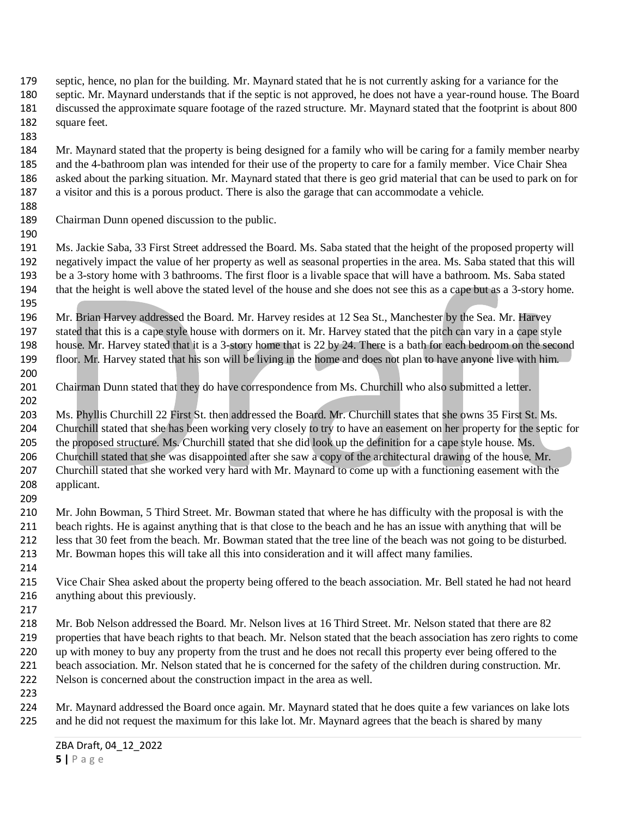- septic, hence, no plan for the building. Mr. Maynard stated that he is not currently asking for a variance for the septic. Mr. Maynard understands that if the septic is not approved, he does not have a year-round house. The Board discussed the approximate square footage of the razed structure. Mr. Maynard stated that the footprint is about 800 square feet.
- 

 Mr. Maynard stated that the property is being designed for a family who will be caring for a family member nearby and the 4-bathroom plan was intended for their use of the property to care for a family member. Vice Chair Shea asked about the parking situation. Mr. Maynard stated that there is geo grid material that can be used to park on for a visitor and this is a porous product. There is also the garage that can accommodate a vehicle.

Chairman Dunn opened discussion to the public.

 Ms. Jackie Saba, 33 First Street addressed the Board. Ms. Saba stated that the height of the proposed property will negatively impact the value of her property as well as seasonal properties in the area. Ms. Saba stated that this will be a 3-story home with 3 bathrooms. The first floor is a livable space that will have a bathroom. Ms. Saba stated that the height is well above the stated level of the house and she does not see this as a cape but as a 3-story home.

 Mr. Brian Harvey addressed the Board. Mr. Harvey resides at 12 Sea St., Manchester by the Sea. Mr. Harvey stated that this is a cape style house with dormers on it. Mr. Harvey stated that the pitch can vary in a cape style house. Mr. Harvey stated that it is a 3-story home that is 22 by 24. There is a bath for each bedroom on the second floor. Mr. Harvey stated that his son will be living in the home and does not plan to have anyone live with him.

 Chairman Dunn stated that they do have correspondence from Ms. Churchill who also submitted a letter. 

 Ms. Phyllis Churchill 22 First St. then addressed the Board. Mr. Churchill states that she owns 35 First St. Ms. Churchill stated that she has been working very closely to try to have an easement on her property for the septic for 205 the proposed structure. Ms. Churchill stated that she did look up the definition for a cape style house. Ms. Churchill stated that she was disappointed after she saw a copy of the architectural drawing of the house. Mr. 207 Churchill stated that she worked very hard with Mr. Maynard to come up with a functioning easement with the applicant.

- Mr. John Bowman, 5 Third Street. Mr. Bowman stated that where he has difficulty with the proposal is with the beach rights. He is against anything that is that close to the beach and he has an issue with anything that will be less that 30 feet from the beach. Mr. Bowman stated that the tree line of the beach was not going to be disturbed. Mr. Bowman hopes this will take all this into consideration and it will affect many families.
- Vice Chair Shea asked about the property being offered to the beach association. Mr. Bell stated he had not heard anything about this previously.
- Mr. Bob Nelson addressed the Board. Mr. Nelson lives at 16 Third Street. Mr. Nelson stated that there are 82 properties that have beach rights to that beach. Mr. Nelson stated that the beach association has zero rights to come up with money to buy any property from the trust and he does not recall this property ever being offered to the beach association. Mr. Nelson stated that he is concerned for the safety of the children during construction. Mr. Nelson is concerned about the construction impact in the area as well.
- 

 Mr. Maynard addressed the Board once again. Mr. Maynard stated that he does quite a few variances on lake lots 225 and he did not request the maximum for this lake lot. Mr. Maynard agrees that the beach is shared by many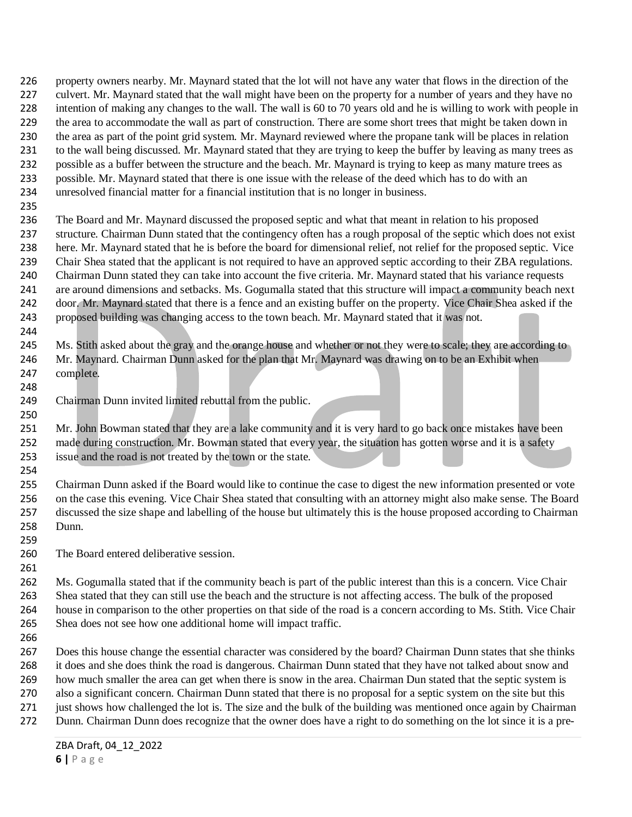property owners nearby. Mr. Maynard stated that the lot will not have any water that flows in the direction of the culvert. Mr. Maynard stated that the wall might have been on the property for a number of years and they have no intention of making any changes to the wall. The wall is 60 to 70 years old and he is willing to work with people in the area to accommodate the wall as part of construction. There are some short trees that might be taken down in the area as part of the point grid system. Mr. Maynard reviewed where the propane tank will be places in relation to the wall being discussed. Mr. Maynard stated that they are trying to keep the buffer by leaving as many trees as possible as a buffer between the structure and the beach. Mr. Maynard is trying to keep as many mature trees as possible. Mr. Maynard stated that there is one issue with the release of the deed which has to do with an unresolved financial matter for a financial institution that is no longer in business.

 The Board and Mr. Maynard discussed the proposed septic and what that meant in relation to his proposed structure. Chairman Dunn stated that the contingency often has a rough proposal of the septic which does not exist here. Mr. Maynard stated that he is before the board for dimensional relief, not relief for the proposed septic. Vice Chair Shea stated that the applicant is not required to have an approved septic according to their ZBA regulations. Chairman Dunn stated they can take into account the five criteria. Mr. Maynard stated that his variance requests are around dimensions and setbacks. Ms. Gogumalla stated that this structure will impact a community beach next door. Mr. Maynard stated that there is a fence and an existing buffer on the property. Vice Chair Shea asked if the proposed building was changing access to the town beach. Mr. Maynard stated that it was not. 

 Ms. Stith asked about the gray and the orange house and whether or not they were to scale; they are according to Mr. Maynard. Chairman Dunn asked for the plan that Mr. Maynard was drawing on to be an Exhibit when complete.

Chairman Dunn invited limited rebuttal from the public.

 Mr. John Bowman stated that they are a lake community and it is very hard to go back once mistakes have been 252 made during construction. Mr. Bowman stated that every year, the situation has gotten worse and it is a safety issue and the road is not treated by the town or the state.

 Chairman Dunn asked if the Board would like to continue the case to digest the new information presented or vote on the case this evening. Vice Chair Shea stated that consulting with an attorney might also make sense. The Board discussed the size shape and labelling of the house but ultimately this is the house proposed according to Chairman Dunn.

The Board entered deliberative session.

 Ms. Gogumalla stated that if the community beach is part of the public interest than this is a concern. Vice Chair Shea stated that they can still use the beach and the structure is not affecting access. The bulk of the proposed house in comparison to the other properties on that side of the road is a concern according to Ms. Stith. Vice Chair Shea does not see how one additional home will impact traffic.

 Does this house change the essential character was considered by the board? Chairman Dunn states that she thinks it does and she does think the road is dangerous. Chairman Dunn stated that they have not talked about snow and how much smaller the area can get when there is snow in the area. Chairman Dun stated that the septic system is also a significant concern. Chairman Dunn stated that there is no proposal for a septic system on the site but this just shows how challenged the lot is. The size and the bulk of the building was mentioned once again by Chairman Dunn. Chairman Dunn does recognize that the owner does have a right to do something on the lot since it is a pre-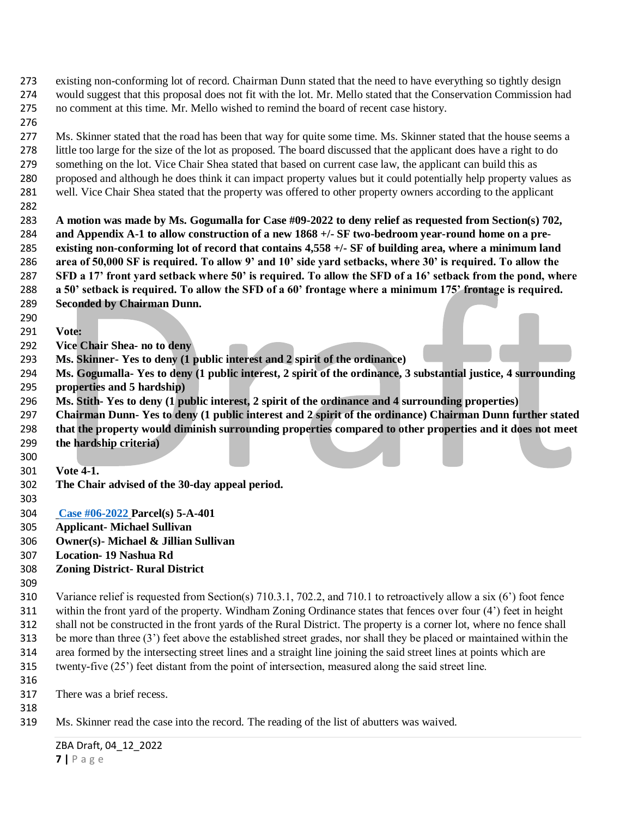- existing non-conforming lot of record. Chairman Dunn stated that the need to have everything so tightly design would suggest that this proposal does not fit with the lot. Mr. Mello stated that the Conservation Commission had no comment at this time. Mr. Mello wished to remind the board of recent case history.
- 

 Ms. Skinner stated that the road has been that way for quite some time. Ms. Skinner stated that the house seems a little too large for the size of the lot as proposed. The board discussed that the applicant does have a right to do 279 something on the lot. Vice Chair Shea stated that based on current case law, the applicant can build this as proposed and although he does think it can impact property values but it could potentially help property values as well. Vice Chair Shea stated that the property was offered to other property owners according to the applicant

 **A motion was made by Ms. Gogumalla for Case #09-2022 to deny relief as requested from Section(s) 702, and Appendix A-1 to allow construction of a new 1868 +/- SF two-bedroom year-round home on a pre- existing non-conforming lot of record that contains 4,558 +/- SF of building area, where a minimum land area of 50,000 SF is required. To allow 9' and 10' side yard setbacks, where 30' is required. To allow the SFD a 17' front yard setback where 50' is required. To allow the SFD of a 16' setback from the pond, where a 50' setback is required. To allow the SFD of a 60' frontage where a minimum 175' frontage is required. Seconded by Chairman Dunn.** 

- **Vote:**
- **Vice Chair Shea- no to deny**
- **Ms. Skinner- Yes to deny (1 public interest and 2 spirit of the ordinance)**
- **Ms. Gogumalla- Yes to deny (1 public interest, 2 spirit of the ordinance, 3 substantial justice, 4 surrounding properties and 5 hardship)**
- **Ms. Stith- Yes to deny (1 public interest, 2 spirit of the ordinance and 4 surrounding properties)**
- **Chairman Dunn- Yes to deny (1 public interest and 2 spirit of the ordinance) Chairman Dunn further stated**
- **that the property would diminish surrounding properties compared to other properties and it does not meet**
- **the hardship criteria)**
- **Vote 4-1.**
- **The Chair advised of the 30-day appeal period.**
- 
- **Case #06-2022 Parcel(s) 5-A-401**
- **Applicant- Michael Sullivan**
- **Owner(s)- Michael & Jillian Sullivan**
- **Location- 19 Nashua Rd**
- **Zoning District- Rural District**
- Variance relief is requested from Section(s) 710.3.1, 702.2, and 710.1 to retroactively allow a six (6') foot fence within the front yard of the property. Windham Zoning Ordinance states that fences over four (4') feet in height shall not be constructed in the front yards of the Rural District. The property is a corner lot, where no fence shall be more than three (3') feet above the established street grades, nor shall they be placed or maintained within the area formed by the intersecting street lines and a straight line joining the said street lines at points which are twenty-five (25') feet distant from the point of intersection, measured along the said street line.
	- There was a brief recess.
	-
	- Ms. Skinner read the case into the record. The reading of the list of abutters was waived.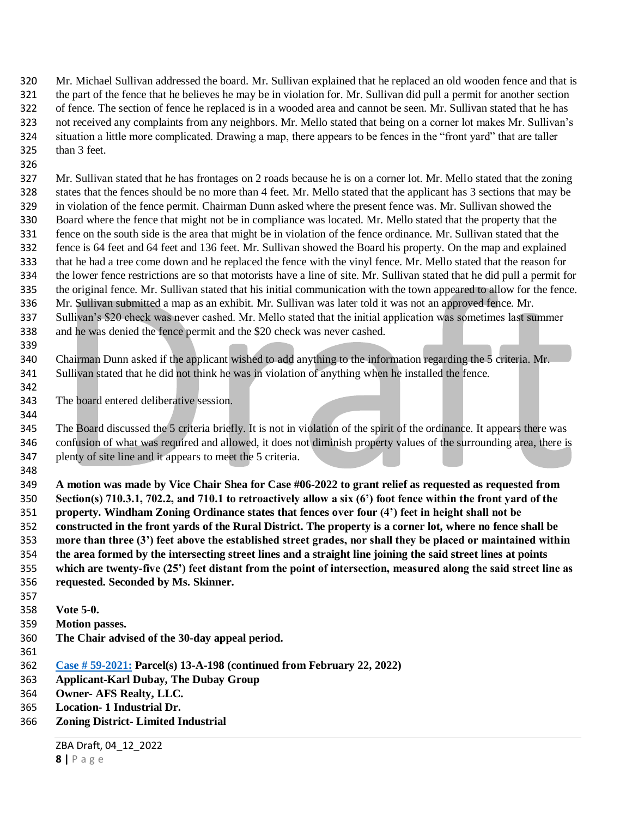Mr. Michael Sullivan addressed the board. Mr. Sullivan explained that he replaced an old wooden fence and that is the part of the fence that he believes he may be in violation for. Mr. Sullivan did pull a permit for another section of fence. The section of fence he replaced is in a wooded area and cannot be seen. Mr. Sullivan stated that he has not received any complaints from any neighbors. Mr. Mello stated that being on a corner lot makes Mr. Sullivan's situation a little more complicated. Drawing a map, there appears to be fences in the "front yard" that are taller than 3 feet.

- Mr. Sullivan stated that he has frontages on 2 roads because he is on a corner lot. Mr. Mello stated that the zoning states that the fences should be no more than 4 feet. Mr. Mello stated that the applicant has 3 sections that may be in violation of the fence permit. Chairman Dunn asked where the present fence was. Mr. Sullivan showed the Board where the fence that might not be in compliance was located. Mr. Mello stated that the property that the fence on the south side is the area that might be in violation of the fence ordinance. Mr. Sullivan stated that the fence is 64 feet and 64 feet and 136 feet. Mr. Sullivan showed the Board his property. On the map and explained that he had a tree come down and he replaced the fence with the vinyl fence. Mr. Mello stated that the reason for the lower fence restrictions are so that motorists have a line of site. Mr. Sullivan stated that he did pull a permit for the original fence. Mr. Sullivan stated that his initial communication with the town appeared to allow for the fence. Mr. Sullivan submitted a map as an exhibit. Mr. Sullivan was later told it was not an approved fence. Mr. Sullivan's \$20 check was never cashed. Mr. Mello stated that the initial application was sometimes last summer and he was denied the fence permit and the \$20 check was never cashed.
- Chairman Dunn asked if the applicant wished to add anything to the information regarding the 5 criteria. Mr. Sullivan stated that he did not think he was in violation of anything when he installed the fence.
- The board entered deliberative session.

 The Board discussed the 5 criteria briefly. It is not in violation of the spirit of the ordinance. It appears there was confusion of what was required and allowed, it does not diminish property values of the surrounding area, there is plenty of site line and it appears to meet the 5 criteria.

 **A motion was made by Vice Chair Shea for Case #06-2022 to grant relief as requested as requested from Section(s) 710.3.1, 702.2, and 710.1 to retroactively allow a six (6') foot fence within the front yard of the property. Windham Zoning Ordinance states that fences over four (4') feet in height shall not be constructed in the front yards of the Rural District. The property is a corner lot, where no fence shall be more than three (3') feet above the established street grades, nor shall they be placed or maintained within the area formed by the intersecting street lines and a straight line joining the said street lines at points which are twenty-five (25') feet distant from the point of intersection, measured along the said street line as requested. Seconded by Ms. Skinner.** 

- **Vote 5-0.**
- **Motion passes.**
- **The Chair advised of the 30-day appeal period.**
- 

- **Case # 59-2021: Parcel(s) 13-A-198 (continued from February 22, 2022)**
- **Applicant-Karl Dubay, The Dubay Group**
- **Owner- AFS Realty, LLC.**
- **Location- 1 Industrial Dr.**
- **Zoning District- Limited Industrial**

ZBA Draft, 04\_12\_2022 **|** P a g e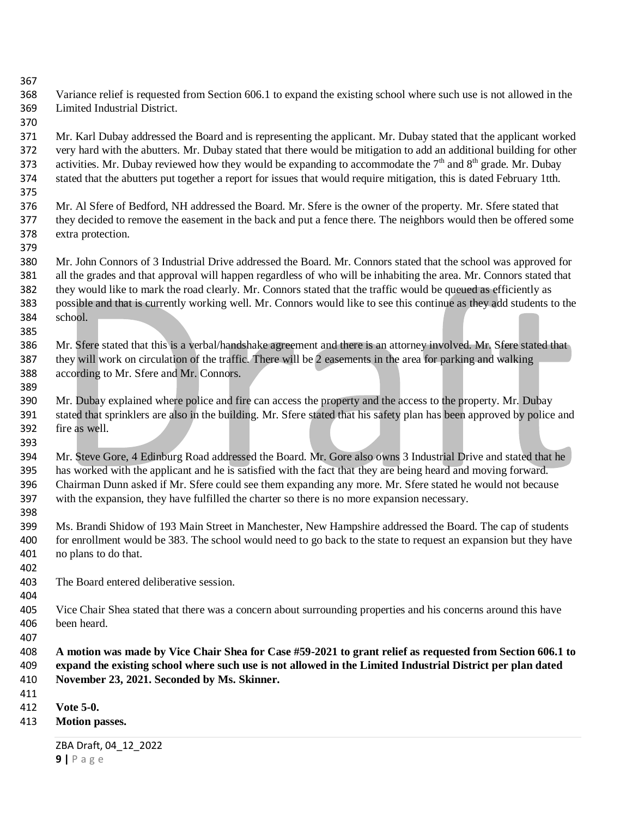Variance relief is requested from Section 606.1 to expand the existing school where such use is not allowed in the Limited Industrial District.

 Mr. Karl Dubay addressed the Board and is representing the applicant. Mr. Dubay stated that the applicant worked very hard with the abutters. Mr. Dubay stated that there would be mitigation to add an additional building for other 373 activities. Mr. Dubay reviewed how they would be expanding to accommodate the  $7<sup>th</sup>$  and  $8<sup>th</sup>$  grade. Mr. Dubay stated that the abutters put together a report for issues that would require mitigation, this is dated February 1tth.

- Mr. Al Sfere of Bedford, NH addressed the Board. Mr. Sfere is the owner of the property. Mr. Sfere stated that they decided to remove the easement in the back and put a fence there. The neighbors would then be offered some extra protection.
- Mr. John Connors of 3 Industrial Drive addressed the Board. Mr. Connors stated that the school was approved for all the grades and that approval will happen regardless of who will be inhabiting the area. Mr. Connors stated that they would like to mark the road clearly. Mr. Connors stated that the traffic would be queued as efficiently as possible and that is currently working well. Mr. Connors would like to see this continue as they add students to the school.
- Mr. Sfere stated that this is a verbal/handshake agreement and there is an attorney involved. Mr. Sfere stated that they will work on circulation of the traffic. There will be 2 easements in the area for parking and walking according to Mr. Sfere and Mr. Connors.
- Mr. Dubay explained where police and fire can access the property and the access to the property. Mr. Dubay stated that sprinklers are also in the building. Mr. Sfere stated that his safety plan has been approved by police and fire as well.
- Mr. Steve Gore, 4 Edinburg Road addressed the Board. Mr. Gore also owns 3 Industrial Drive and stated that he has worked with the applicant and he is satisfied with the fact that they are being heard and moving forward. Chairman Dunn asked if Mr. Sfere could see them expanding any more. Mr. Sfere stated he would not because with the expansion, they have fulfilled the charter so there is no more expansion necessary.
- Ms. Brandi Shidow of 193 Main Street in Manchester, New Hampshire addressed the Board. The cap of students for enrollment would be 383. The school would need to go back to the state to request an expansion but they have no plans to do that.
- The Board entered deliberative session.
- 

- Vice Chair Shea stated that there was a concern about surrounding properties and his concerns around this have been heard.
- 

 **A motion was made by Vice Chair Shea for Case #59-2021 to grant relief as requested from Section 606.1 to expand the existing school where such use is not allowed in the Limited Industrial District per plan dated November 23, 2021. Seconded by Ms. Skinner.**

- 
- **Vote 5-0.**
- **Motion passes.**

ZBA Draft, 04\_12\_2022 **|** P a g e